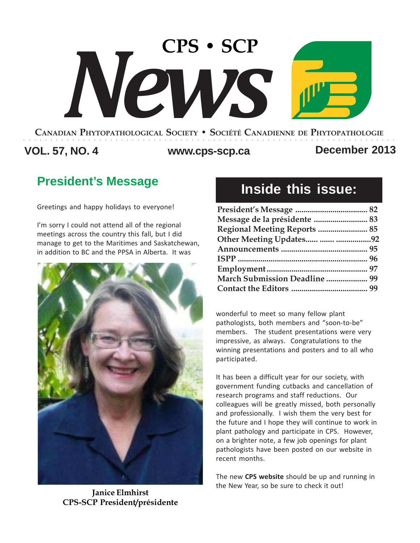# **CPS • SCP** *News*

#### **CANADIAN PHYTOPATHOLOGICAL SOCIETY • SOCIÉTÉ CANADIENNE DE PHYTOPATHOLOGIE** ○○○○○○○○○○○○○○○○○○○○○○○○○○○○○○○○○○○○○○○○○○○○○○○○○○○○○○○○○○○○○○○○○○○○○

## **VOL. 57, NO. 4 www.cps-scp.ca December 2013**

## **President's Message**

Greetings and happy holidays to everyone!

I'm sorry I could not attend all of the regional meetings across the country this fall, but I did manage to get to the Maritimes and Saskatchewan, in addition to BC and the PPSA in Alberta. It was



**Janice Elmhirst CPS-SCP President/présidente**

## **Inside this issue:**

| Message de la présidente  83         |  |
|--------------------------------------|--|
| <b>Regional Meeting Reports  85</b>  |  |
| Other Meeting Updates  92            |  |
|                                      |  |
|                                      |  |
|                                      |  |
| <b>March Submission Deadline  99</b> |  |
|                                      |  |

wonderful to meet so many fellow plant pathologists, both members and "soon-to-be" members. The student presentations were very impressive, as always. Congratulations to the winning presentations and posters and to all who participated.

It has been a difficult year for our society, with government funding cutbacks and cancellation of research programs and staff reductions. Our colleagues will be greatly missed, both personally and professionally. I wish them the very best for the future and I hope they will continue to work in plant pathology and participate in CPS. However, on a brighter note, a few job openings for plant pathologists have been posted on our website in recent months.

The new **CPS website** should be up and running in the New Year, so be sure to check it out!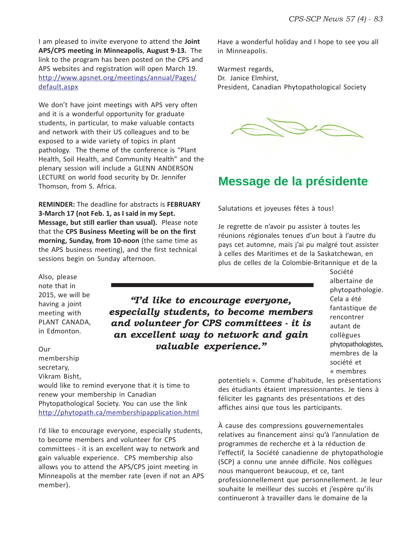I am pleased to invite everyone to attend the **Joint APS/CPS meeting in Minneapolis**, **August 9-13.** The link to the program has been posted on the CPS and APS websites and registration will open March 19. http://www.apsnet.org/meetings/annual/Pages/ default.aspx

We don't have joint meetings with APS very often and it is a wonderful opportunity for graduate students, in particular, to make valuable contacts and network with their US colleagues and to be exposed to a wide variety of topics in plant pathology. The theme of the conference is "Plant Health, Soil Health, and Community Health" and the plenary session will include a GLENN ANDERSON LECTURE on world food security by Dr. Jennifer Thomson, from S. Africa.

**REMINDER:** The deadline for abstracts is **FEBRUARY 3-March 17 (not Feb. 1, as I said in my Sept. Message, but still earlier than usual).** Please note that the **CPS Business Meeting will be on the first morning, Sunday, from 10-noon** (the same time as the APS business meeting), and the first technical sessions begin on Sunday afternoon.

Also, please note that in 2015, we will be having a joint meeting with PLANT CANADA, in Edmonton.

Our membership secretary, Vikram Bisht,

would like to remind everyone that it is time to renew your membership in Canadian Phytopathological Society. You can use the link http://phytopath.ca/membershipapplication.html

I'd like to encourage everyone, especially students, to become members and volunteer for CPS committees - it is an excellent way to network and gain valuable experience. CPS membership also allows you to attend the APS/CPS joint meeting in Minneapolis at the member rate (even if not an APS member).

Have a wonderful holiday and I hope to see you all in Minneapolis.

Warmest regards, Dr. Janice Elmhirst, President, Canadian Phytopathological Society

![](_page_1_Picture_10.jpeg)

## **Message de la présidente**

Salutations et joyeuses fêtes à tous!

Je regrette de n'avoir pu assister à toutes les réunions régionales tenues d'un bout à l'autre du pays cet automne, mais j'ai pu malgré tout assister à celles des Maritimes et de la Saskatchewan, en plus de celles de la Colombie-Britannique et de la

## *"I'd like to encourage everyone, especially students, to become members and volunteer for CPS committees - it is an excellent way to network and gain valuable experience."*

Société albertaine de phytopathologie. Cela a été fantastique de rencontrer autant de collègues phytopathologistes, membres de la société et « membres

potentiels ». Comme d'habitude, les présentations des étudiants étaient impressionnantes. Je tiens à féliciter les gagnants des présentations et des affiches ainsi que tous les participants.

À cause des compressions gouvernementales relatives au financement ainsi qu'à l'annulation de programmes de recherche et à la réduction de l'effectif, la Société canadienne de phytopathologie (SCP) a connu une année difficile. Nos collègues nous manqueront beaucoup, et ce, tant professionnellement que personnellement. Je leur souhaite le meilleur des succès et j'espère qu'ils continueront à travailler dans le domaine de la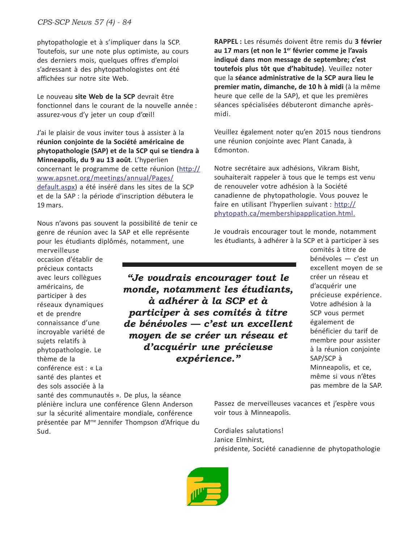phytopathologie et à s'impliquer dans la SCP. Toutefois, sur une note plus optimiste, au cours des derniers mois, quelques offres d'emploi s'adressant à des phytopathologistes ont été affichées sur notre site Web.

Le nouveau **site Web de la SCP** devrait être fonctionnel dans le courant de la nouvelle année : assurez-vous d'y jeter un coup d'œil!

J'ai le plaisir de vous inviter tous à assister à la **réunion conjointe de la Société américaine de phytopathologie (SAP) et de la SCP qui se tiendra à Minneapolis, du 9 au 13 août**. L'hyperlien concernant le programme de cette réunion (http:// www.apsnet.org/meetings/annual/Pages/ default.aspx) a été inséré dans les sites de la SCP et de la SAP : la période d'inscription débutera le 19 mars.

Nous n'avons pas souvent la possibilité de tenir ce genre de réunion avec la SAP et elle représente pour les étudiants diplômés, notamment, une

merveilleuse occasion d'établir de précieux contacts avec leurs collègues américains, de participer à des réseaux dynamiques et de prendre connaissance d'une incroyable variété de sujets relatifs à phytopathologie. Le thème de la conférence est : « La santé des plantes et des sols associée à la

*"Je voudrais encourager tout le monde, notamment les étudiants, à adhérer à la SCP et à participer à ses comités à titre de bénévoles — c'est un excellent moyen de se créer un réseau et d'acquérir une précieuse expérience."*

**RAPPEL :** Les résumés doivent être remis du **3 février au 17 mars (et non le 1er février comme je l'avais indiqué dans mon message de septembre; c'est toutefois plus tôt que d'habitude)**. Veuillez noter que la **séance administrative de la SCP aura lieu le premier matin, dimanche, de 10 h à midi** (à la même heure que celle de la SAP), et que les premières séances spécialisées débuteront dimanche aprèsmidi.

Veuillez également noter qu'en 2015 nous tiendrons une réunion conjointe avec Plant Canada, à Edmonton.

Notre secrétaire aux adhésions, Vikram Bisht, souhaiterait rappeler à tous que le temps est venu de renouveler votre adhésion à la Société canadienne de phytopathologie. Vous pouvez le faire en utilisant l'hyperlien suivant : http:// phytopath.ca/membershipapplication.html.

Je voudrais encourager tout le monde, notamment les étudiants, à adhérer à la SCP et à participer à ses

> comités à titre de bénévoles — c'est un excellent moyen de se créer un réseau et d'acquérir une précieuse expérience. Votre adhésion à la SCP vous permet également de bénéficier du tarif de membre pour assister à la réunion conjointe SAP/SCP à Minneapolis, et ce, même si vous n'êtes pas membre de la SAP.

santé des communautés ». De plus, la séance plénière inclura une conférence Glenn Anderson sur la sécurité alimentaire mondiale, conférence présentée par Mme Jennifer Thompson d'Afrique du Sud.

Passez de merveilleuses vacances et j'espère vous voir tous à Minneapolis.

Cordiales salutations! Janice Elmhirst, présidente, Société canadienne de phytopathologie

![](_page_2_Picture_15.jpeg)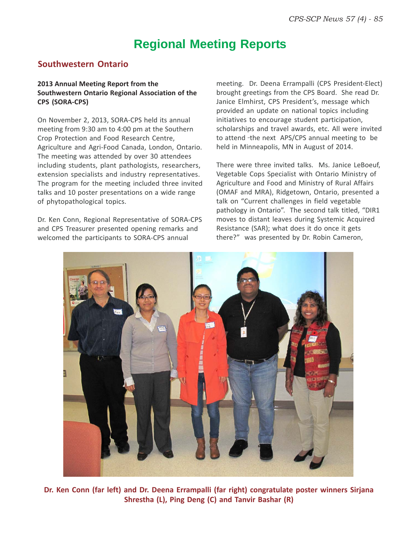## **Regional Meeting Reports**

#### **Southwestern Ontario**

#### **2013 Annual Meeting Report from the Southwestern Ontario Regional Association of the CPS (SORA-CPS)**

On November 2, 2013, SORA-CPS held its annual meeting from 9:30 am to 4:00 pm at the Southern Crop Protection and Food Research Centre, Agriculture and Agri-Food Canada, London, Ontario. The meeting was attended by over 30 attendees including students, plant pathologists, researchers, extension specialists and industry representatives. The program for the meeting included three invited talks and 10 poster presentations on a wide range of phytopathological topics.

Dr. Ken Conn, Regional Representative of SORA-CPS and CPS Treasurer presented opening remarks and welcomed the participants to SORA-CPS annual

meeting. Dr. Deena Errampalli (CPS President-Elect) brought greetings from the CPS Board. She read Dr. Janice Elmhirst, CPS President's, message which provided an update on national topics including initiatives to encourage student participation, scholarships and travel awards, etc. All were invited to attend -the next APS/CPS annual meeting to be held in Minneapolis, MN in August of 2014.

There were three invited talks. Ms. Janice LeBoeuf, Vegetable Cops Specialist with Ontario Ministry of Agriculture and Food and Ministry of Rural Affairs (OMAF and MRA), Ridgetown, Ontario, presented a talk on "Current challenges in field vegetable pathology in Ontario". The second talk titled, "DIR1 moves to distant leaves during Systemic Acquired Resistance (SAR); what does it do once it gets there?" was presented by Dr. Robin Cameron,

![](_page_3_Picture_8.jpeg)

**Dr. Ken Conn (far left) and Dr. Deena Errampalli (far right) congratulate poster winners Sirjana Shrestha (L), Ping Deng (C) and Tanvir Bashar (R)**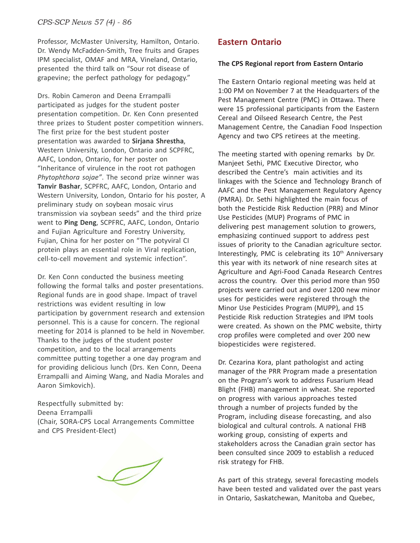Professor, McMaster University, Hamilton, Ontario. Dr. Wendy McFadden-Smith, Tree fruits and Grapes IPM specialist, OMAF and MRA, Vineland, Ontario, presented the third talk on "Sour rot disease of grapevine; the perfect pathology for pedagogy."

Drs. Robin Cameron and Deena Errampalli participated as judges for the student poster presentation competition. Dr. Ken Conn presented three prizes to Student poster competition winners. The first prize for the best student poster presentation was awarded to **Sirjana Shrestha**, Western University, London, Ontario and SCPFRC, AAFC, London, Ontario, for her poster on "Inheritance of virulence in the root rot pathogen *Phytophthora sojae"*. The second prize winner was **Tanvir Bashar**, SCPFRC, AAFC, London, Ontario and Western University, London, Ontario for his poster, A preliminary study on soybean mosaic virus transmission via soybean seeds" and the third prize went to **Ping Deng**, SCPFRC, AAFC, London, Ontario and Fujian Agriculture and Forestry University, Fujian, China for her poster on "The potyviral CI protein plays an essential role in Viral replication, cell-to-cell movement and systemic infection".

Dr. Ken Conn conducted the business meeting following the formal talks and poster presentations. Regional funds are in good shape. Impact of travel restrictions was evident resulting in low participation by government research and extension personnel. This is a cause for concern. The regional meeting for 2014 is planned to be held in November. Thanks to the judges of the student poster competition, and to the local arrangements committee putting together a one day program and for providing delicious lunch (Drs. Ken Conn, Deena Errampalli and Aiming Wang, and Nadia Morales and Aaron Simkovich).

Respectfully submitted by: Deena Errampalli (Chair, SORA-CPS Local Arrangements Committee and CPS President-Elect)

 $\mathcal{J}$ 

#### **Eastern Ontario**

#### **The CPS Regional report from Eastern Ontario**

The Eastern Ontario regional meeting was held at 1:00 PM on November 7 at the Headquarters of the Pest Management Centre (PMC) in Ottawa. There were 15 professional participants from the Eastern Cereal and Oilseed Research Centre, the Pest Management Centre, the Canadian Food Inspection Agency and two CPS retirees at the meeting.

The meeting started with opening remarks by Dr. Manjeet Sethi, PMC Executive Director, who described the Centre's main activities and its linkages with the Science and Technology Branch of AAFC and the Pest Management Regulatory Agency (PMRA). Dr. Sethi highlighted the main focus of both the Pesticide Risk Reduction (PRR) and Minor Use Pesticides (MUP) Programs of PMC in delivering pest management solution to growers, emphasizing continued support to address pest issues of priority to the Canadian agriculture sector. Interestingly, PMC is celebrating its 10<sup>th</sup> Anniversary this year with its network of nine research sites at Agriculture and Agri-Food Canada Research Centres across the country. Over this period more than 950 projects were carried out and over 1200 new minor uses for pesticides were registered through the Minor Use Pesticides Program (MUPP), and 15 Pesticide Risk reduction Strategies and IPM tools were created. As shown on the PMC website, thirty crop profiles were completed and over 200 new biopesticides were registered.

Dr. Cezarina Kora, plant pathologist and acting manager of the PRR Program made a presentation on the Program's work to address Fusarium Head Blight (FHB) management in wheat. She reported on progress with various approaches tested through a number of projects funded by the Program, including disease forecasting, and also biological and cultural controls. A national FHB working group, consisting of experts and stakeholders across the Canadian grain sector has been consulted since 2009 to establish a reduced risk strategy for FHB.

As part of this strategy, several forecasting models have been tested and validated over the past years in Ontario, Saskatchewan, Manitoba and Quebec,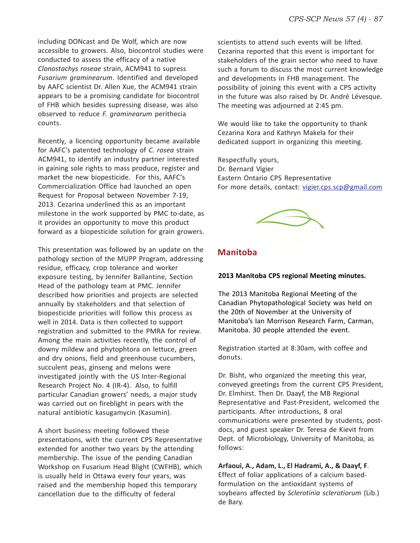including DONcast and De Wolf, which are now accessible to growers. Also, biocontrol studies were conducted to assess the efficacy of a native *Clonostachys roseae* strain, ACM941 to supress *Fusarium graminearum*. Identified and developed by AAFC scientist Dr. Allen Xue, the ACM941 strain appears to be a promising candidate for biocontrol of FHB which besides supressing disease, was also observed to reduce *F. graminearum* perithecia counts.

Recently*,* a licencing opportunity became available for AAFC's patented technology of *C. rosea* strain ACM941, to identify an industry partner interested in gaining sole rights to mass produce, register and market the new biopesticide. For this, AAFC's Commercialization Office had launched an open Request for Proposal between November 7-19, 2013. Cezarina underlined this as an important milestone in the work supported by PMC to-date, as it provides an opportunity to move this product forward as a biopesticide solution for grain growers.

This presentation was followed by an update on the pathology section of the MUPP Program, addressing residue, efficacy, crop tolerance and worker exposure testing, by Jennifer Ballantine, Section Head of the pathology team at PMC. Jennifer described how priorities and projects are selected annually by stakeholders and that selection of biopesticide priorities will follow this process as well in 2014. Data is then collected to support registration and submitted to the PMRA for review. Among the main activities recently, the control of downy mildew and phytophtora on lettuce, green and dry onions, field and greenhouse cucumbers, succulent peas, ginseng and melons were investigated jointly with the US Inter-Regional Research Project No. 4 (IR-4). Also, to fulfill particular Canadian growers' needs, a major study was carried out on fireblight in pears with the natural antibiotic kasugamycin (Kasumin).

A short business meeting followed these presentations, with the current CPS Representative extended for another two years by the attending membership. The issue of the pending Canadian Workshop on Fusarium Head Blight (CWFHB), which is usually held in Ottawa every four years, was raised and the membership hoped this temporary cancellation due to the difficulty of federal

scientists to attend such events will be lifted. Cezarina reported that this event is important for stakeholders of the grain sector who need to have such a forum to discuss the most current knowledge and developments in FHB management. The possibility of joining this event with a CPS activity in the future was also raised by Dr. André Lévesque. The meeting was adjourned at 2:45 pm.

We would like to take the opportunity to thank Cezarina Kora and Kathryn Makela for their dedicated support in organizing this meeting.

Respectfully yours, Dr. Bernard Vigier Eastern Ontario CPS Representative For more details, contact: vigier.cps.scp@gmail.com

![](_page_5_Picture_8.jpeg)

#### **Manitoba**

#### **2013 Manitoba CPS regional Meeting minutes.**

The 2013 Manitoba Regional Meeting of the Canadian Phytopathological Society was held on the 20th of November at the University of Manitoba's Ian Morrison Research Farm, Carman, Manitoba. 30 people attended the event.

Registration started at 8:30am, with coffee and donuts.

Dr. Bisht, who organized the meeting this year, conveyed greetings from the current CPS President, Dr. Elmhirst. Then Dr. Daayf, the MB Regional Representative and Past-President, welcomed the participants. After introductions, 8 oral communications were presented by students, postdocs, and guest speaker Dr. Teresa de Kievit from Dept. of Microbiology, University of Manitoba, as follows:

**Arfaoui, A., Adam, L., El Hadrami, A., & Daayf, F**. Effect of foliar applications of a calcium basedformulation on the antioxidant systems of soybeans affected by *Sclerotinia sclerotiorum* (Lib.) de Bary.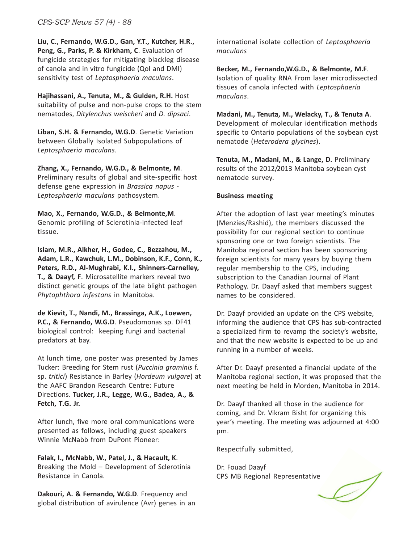**Liu, C., Fernando, W.G.D., Gan, Y.T., Kutcher, H.R., Peng, G., Parks, P. & Kirkham, C**. Evaluation of fungicide strategies for mitigating blackleg disease of canola and in vitro fungicide (QoI and DMI) sensitivity test of *Leptosphaeria maculans*.

**Hajihassani, A., Tenuta, M., & Gulden, R.H.** Host suitability of pulse and non-pulse crops to the stem nematodes, *Ditylenchus weischeri* and *D. dipsaci*.

**Liban, S.H. & Fernando, W.G.D**. Genetic Variation between Globally Isolated Subpopulations of *Leptosphaeria maculans*.

**Zhang, X., Fernando, W.G.D., & Belmonte, M**. Preliminary results of global and site-specific host defense gene expression in *Brassica napus* - *Leptosphaeria maculans* pathosystem.

**Mao, X., Fernando, W.G.D., & Belmonte,M**. Genomic profiling of Sclerotinia-infected leaf tissue.

**Islam, M.R., Alkher, H., Godee, C., Bezzahou, M., Adam, L.R., Kawchuk, L.M., Dobinson, K.F., Conn, K., Peters, R.D., Al-Mughrabi, K.I., Shinners-Carnelley, T., & Daayf, F**. Microsatellite markers reveal two distinct genetic groups of the late blight pathogen *Phytophthora infestans* in Manitoba.

**de Kievit, T., Nandi, M., Brassinga, A.K., Loewen, P.C., & Fernando, W.G.D**. Pseudomonas sp. DF41 biological control: keeping fungi and bacterial predators at bay.

At lunch time, one poster was presented by James Tucker: Breeding for Stem rust (*Puccinia graminis* f. sp. *tritici*) Resistance in Barley (*Hordeum vulgare*) at the AAFC Brandon Research Centre: Future Directions. **Tucker, J.R., Legge, W.G., Badea, A., & Fetch, T.G. Jr.**

After lunch, five more oral communications were presented as follows, including guest speakers Winnie McNabb from DuPont Pioneer:

**Falak, I., McNabb, W., Patel, J., & Hacault, K**. Breaking the Mold – Development of Sclerotinia Resistance in Canola.

**Dakouri, A. & Fernando, W.G.D**. Frequency and global distribution of avirulence (Avr) genes in an international isolate collection of *Leptosphaeria maculans*

**Becker, M., Fernando,W.G.D., & Belmonte, M.F**. Isolation of quality RNA From laser microdissected tissues of canola infected with *Leptosphaeria maculans*.

**Madani, M., Tenuta, M., Welacky, T., & Tenuta A**. Development of molecular identification methods specific to Ontario populations of the soybean cyst nematode (*Heterodera glycines*).

**Tenuta, M., Madani, M., & Lange, D.** Preliminary results of the 2012/2013 Manitoba soybean cyst nematode survey.

#### **Business meeting**

After the adoption of last year meeting's minutes (Menzies/Rashid), the members discussed the possibility for our regional section to continue sponsoring one or two foreign scientists. The Manitoba regional section has been sponsoring foreign scientists for many years by buying them regular membership to the CPS, including subscription to the Canadian Journal of Plant Pathology. Dr. Daayf asked that members suggest names to be considered.

Dr. Daayf provided an update on the CPS website, informing the audience that CPS has sub-contracted a specialized firm to revamp the society's website, and that the new website is expected to be up and running in a number of weeks.

After Dr. Daayf presented a financial update of the Manitoba regional section, it was proposed that the next meeting be held in Morden, Manitoba in 2014.

Dr. Daayf thanked all those in the audience for coming, and Dr. Vikram Bisht for organizing this year's meeting. The meeting was adjourned at 4:00 pm.

Respectfully submitted,

Dr. Fouad Daayf CPS MB Regional Representative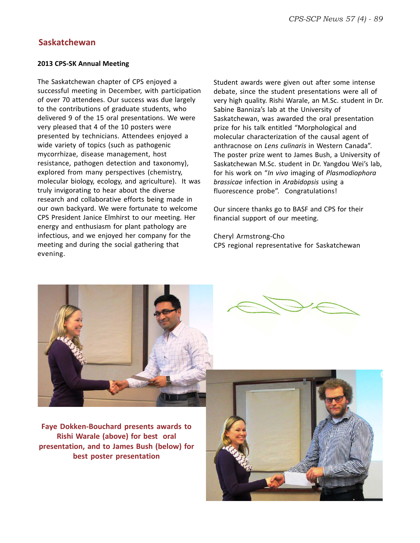#### **Saskatchewan**

#### **2013 CPS-SK Annual Meeting**

The Saskatchewan chapter of CPS enjoyed a successful meeting in December, with participation of over 70 attendees. Our success was due largely to the contributions of graduate students, who delivered 9 of the 15 oral presentations. We were very pleased that 4 of the 10 posters were presented by technicians. Attendees enjoyed a wide variety of topics (such as pathogenic mycorrhizae, disease management, host resistance, pathogen detection and taxonomy), explored from many perspectives (chemistry, molecular biology, ecology, and agriculture). It was truly invigorating to hear about the diverse research and collaborative efforts being made in our own backyard. We were fortunate to welcome CPS President Janice Elmhirst to our meeting. Her energy and enthusiasm for plant pathology are infectious, and we enjoyed her company for the meeting and during the social gathering that evening.

Student awards were given out after some intense debate, since the student presentations were all of very high quality. Rishi Warale, an M.Sc. student in Dr. Sabine Banniza's lab at the University of Saskatchewan, was awarded the oral presentation prize for his talk entitled "Morphological and molecular characterization of the causal agent of anthracnose on *Lens culinaris* in Western Canada". The poster prize went to James Bush, a University of Saskatchewan M.Sc. student in Dr. Yangdou Wei's lab, for his work on "*In vivo* imaging of *Plasmodiophora brassicae* infection in *Arabidopsis* using a fluorescence probe". Congratulations!

Our sincere thanks go to BASF and CPS for their financial support of our meeting.

Cheryl Armstrong-Cho CPS regional representative for Saskatchewan

![](_page_7_Picture_7.jpeg)

**Faye Dokken-Bouchard presents awards to Rishi Warale (above) for best oral presentation, and to James Bush (below) for best poster presentation**

![](_page_7_Picture_9.jpeg)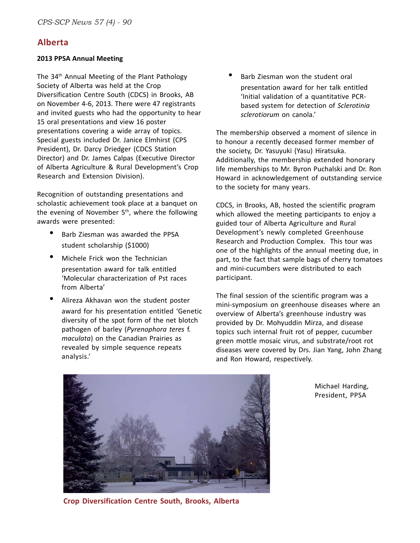#### **Alberta**

#### **2013 PPSA Annual Meeting**

The 34<sup>th</sup> Annual Meeting of the Plant Pathology Society of Alberta was held at the Crop Diversification Centre South (CDCS) in Brooks, AB on November 4-6, 2013. There were 47 registrants and invited guests who had the opportunity to hear 15 oral presentations and view 16 poster presentations covering a wide array of topics. Special guests included Dr. Janice Elmhirst (CPS President), Dr. Darcy Driedger (CDCS Station Director) and Dr. James Calpas (Executive Director of Alberta Agriculture & Rural Development's Crop Research and Extension Division).

Recognition of outstanding presentations and scholastic achievement took place at a banquet on the evening of November 5<sup>th</sup>, where the following awards were presented:

- Barb Ziesman was awarded the PPSA student scholarship (\$1000)
- Michele Frick won the Technician presentation award for talk entitled 'Molecular characterization of Pst races from Alberta'
- Alireza Akhavan won the student poster award for his presentation entitled 'Genetic diversity of the spot form of the net blotch pathogen of barley (*Pyrenophora teres* f. *maculata*) on the Canadian Prairies as revealed by simple sequence repeats analysis.'

Barb Ziesman won the student oral presentation award for her talk entitled 'Initial validation of a quantitative PCRbased system for detection of *Sclerotinia sclerotiorum* on canola.'

The membership observed a moment of silence in to honour a recently deceased former member of the society, Dr. Yasuyuki (Yasu) Hiratsuka. Additionally, the membership extended honorary life memberships to Mr. Byron Puchalski and Dr. Ron Howard in acknowledgement of outstanding service to the society for many years.

CDCS, in Brooks, AB, hosted the scientific program which allowed the meeting participants to enjoy a guided tour of Alberta Agriculture and Rural Development's newly completed Greenhouse Research and Production Complex. This tour was one of the highlights of the annual meeting due, in part, to the fact that sample bags of cherry tomatoes and mini-cucumbers were distributed to each participant.

The final session of the scientific program was a mini-symposium on greenhouse diseases where an overview of Alberta's greenhouse industry was provided by Dr. Mohyuddin Mirza, and disease topics such internal fruit rot of pepper, cucumber green mottle mosaic virus, and substrate/root rot diseases were covered by Drs. Jian Yang, John Zhang and Ron Howard, respectively.

![](_page_8_Picture_12.jpeg)

Michael Harding, President, PPSA

**Crop Diversification Centre South, Brooks, Alberta**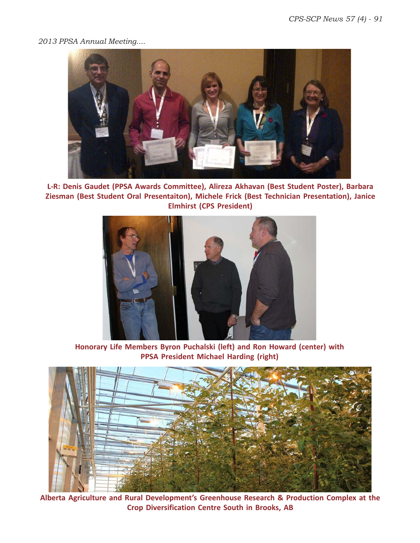#### *2013 PPSA Annual Meeting....*

![](_page_9_Picture_2.jpeg)

**L-R: Denis Gaudet (PPSA Awards Committee), Alireza Akhavan (Best Student Poster), Barbara Ziesman (Best Student Oral Presentaiton), Michele Frick (Best Technician Presentation), Janice Elmhirst (CPS President)**

![](_page_9_Picture_4.jpeg)

**Honorary Life Members Byron Puchalski (left) and Ron Howard (center) with PPSA President Michael Harding (right)**

![](_page_9_Picture_6.jpeg)

**Alberta Agriculture and Rural Development's Greenhouse Research & Production Complex at the Crop Diversification Centre South in Brooks, AB**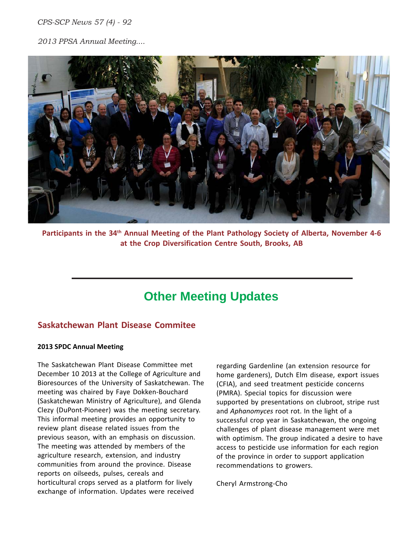*CPS-SCP News 57 (4) - 92*

*2013 PPSA Annual Meeting....*

![](_page_10_Picture_2.jpeg)

Participants in the 34<sup>th</sup> Annual Meeting of the Plant Pathology Society of Alberta, November 4-6 **at the Crop Diversification Centre South, Brooks, AB**

## **Other Meeting Updates**

#### **Saskatchewan Plant Disease Commitee**

#### **2013 SPDC Annual Meeting**

The Saskatchewan Plant Disease Committee met December 10 2013 at the College of Agriculture and Bioresources of the University of Saskatchewan. The meeting was chaired by Faye Dokken-Bouchard (Saskatchewan Ministry of Agriculture), and Glenda Clezy (DuPont-Pioneer) was the meeting secretary. This informal meeting provides an opportunity to review plant disease related issues from the previous season, with an emphasis on discussion. The meeting was attended by members of the agriculture research, extension, and industry communities from around the province. Disease reports on oilseeds, pulses, cereals and horticultural crops served as a platform for lively exchange of information. Updates were received

regarding Gardenline (an extension resource for home gardeners), Dutch Elm disease, export issues (CFIA), and seed treatment pesticide concerns (PMRA). Special topics for discussion were supported by presentations on clubroot, stripe rust and *Aphanomyces* root rot. In the light of a successful crop year in Saskatchewan, the ongoing challenges of plant disease management were met with optimism. The group indicated a desire to have access to pesticide use information for each region of the province in order to support application recommendations to growers.

Cheryl Armstrong-Cho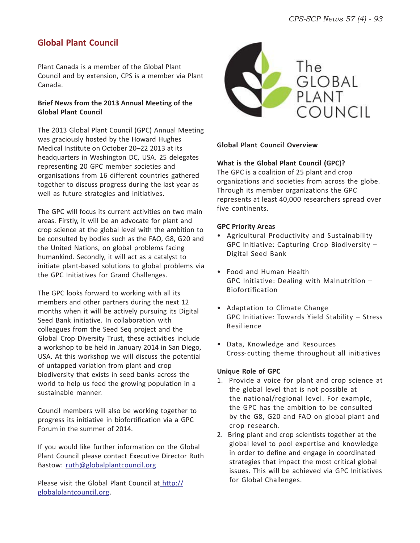### **Global Plant Council**

Plant Canada is a member of the Global Plant Council and by extension, CPS is a member via Plant Canada.

#### **Brief News from the 2013 Annual Meeting of the Global Plant Council**

The 2013 Global Plant Council (GPC) Annual Meeting was graciously hosted by the Howard Hughes Medical Institute on October 20–22 2013 at its headquarters in Washington DC, USA. 25 delegates representing 20 GPC member societies and organisations from 16 different countries gathered together to discuss progress during the last year as well as future strategies and initiatives.

The GPC will focus its current activities on two main areas. Firstly, it will be an advocate for plant and crop science at the global level with the ambition to be consulted by bodies such as the FAO, G8, G20 and the United Nations, on global problems facing humankind. Secondly, it will act as a catalyst to initiate plant-based solutions to global problems via the GPC Initiatives for Grand Challenges.

The GPC looks forward to working with all its members and other partners during the next 12 months when it will be actively pursuing its Digital Seed Bank initiative. In collaboration with colleagues from the Seed Seq project and the Global Crop Diversity Trust, these activities include a workshop to be held in January 2014 in San Diego, USA. At this workshop we will discuss the potential of untapped variation from plant and crop biodiversity that exists in seed banks across the world to help us feed the growing population in a sustainable manner.

Council members will also be working together to progress its initiative in biofortification via a GPC Forum in the summer of 2014.

If you would like further information on the Global Plant Council please contact Executive Director Ruth Bastow: ruth@globalplantcouncil.org

Please visit the Global Plant Council at http:// globalplantcouncil.org.

![](_page_11_Picture_10.jpeg)

#### **Global Plant Council Overview**

#### **What is the Global Plant Council (GPC)?**

The GPC is a coalition of 25 plant and crop organizations and societies from across the globe. Through its member organizations the GPC represents at least 40,000 researchers spread over five continents.

#### **GPC Priority Areas**

- Agricultural Productivity and Sustainability GPC Initiative: Capturing Crop Biodiversity – Digital Seed Bank
- Food and Human Health GPC Initiative: Dealing with Malnutrition – Biofortification
- Adaptation to Climate Change GPC Initiative: Towards Yield Stability – Stress Resilience
- Data, Knowledge and Resources Cross-cutting theme throughout all initiatives

#### **Unique Role of GPC**

- 1. Provide a voice for plant and crop science at the global level that is not possible at the national/regional level. For example, the GPC has the ambition to be consulted by the G8, G20 and FAO on global plant and crop research.
- 2. Bring plant and crop scientists together at the global level to pool expertise and knowledge in order to define and engage in coordinated strategies that impact the most critical global issues. This will be achieved via GPC Initiatives for Global Challenges.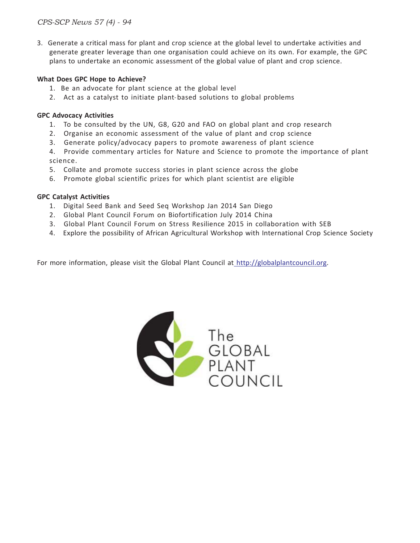3. Generate a critical mass for plant and crop science at the global level to undertake activities and generate greater leverage than one organisation could achieve on its own. For example, the GPC plans to undertake an economic assessment of the global value of plant and crop science.

#### **What Does GPC Hope to Achieve?**

- 1. Be an advocate for plant science at the global level
- 2. Act as a catalyst to initiate plant-based solutions to global problems

#### **GPC Advocacy Activities**

- 1. To be consulted by the UN, G8, G20 and FAO on global plant and crop research
- 2. Organise an economic assessment of the value of plant and crop science
- 3. Generate policy/advocacy papers to promote awareness of plant science

4. Provide commentary articles for Nature and Science to promote the importance of plant science.

- 5. Collate and promote success stories in plant science across the globe
- 6. Promote global scientific prizes for which plant scientist are eligible

#### **GPC Catalyst Activities**

- 1. Digital Seed Bank and Seed Seq Workshop Jan 2014 San Diego
- 2. Global Plant Council Forum on Biofortification July 2014 China
- 3. Global Plant Council Forum on Stress Resilience 2015 in collaboration with SEB
- 4. Explore the possibility of African Agricultural Workshop with International Crop Science Society

For more information, please visit the Global Plant Council at http://globalplantcouncil.org.

![](_page_12_Picture_18.jpeg)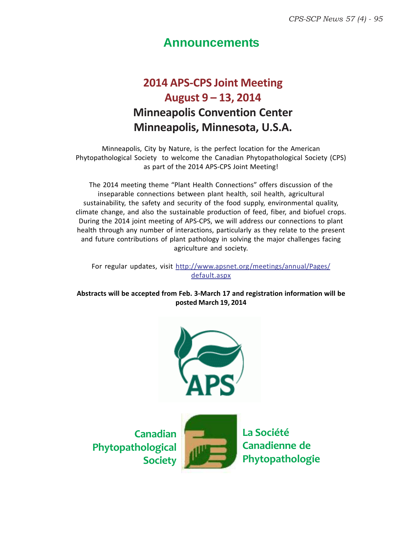## **Announcements**

## **2014 APS-CPS Joint Meeting August 9 – 13, 2014 Minneapolis Convention Center Minneapolis, Minnesota, U.S.A.**

Minneapolis, City by Nature, is the perfect location for the American Phytopathological Society to welcome the Canadian Phytopathological Society (CPS) as part of the 2014 APS-CPS Joint Meeting!

The 2014 meeting theme "Plant Health Connections" offers discussion of the inseparable connections between plant health, soil health, agricultural sustainability, the safety and security of the food supply, environmental quality, climate change, and also the sustainable production of feed, fiber, and biofuel crops. During the 2014 joint meeting of APS-CPS, we will address our connections to plant health through any number of interactions, particularly as they relate to the present and future contributions of plant pathology in solving the major challenges facing agriculture and society.

For regular updates, visit http://www.apsnet.org/meetings/annual/Pages/ default.aspx

**Abstracts will be accepted from Feb. 3-March 17 and registration information will be posted March 19, 2014**

![](_page_13_Picture_7.jpeg)

**Canadian Phytopathological Society**

![](_page_13_Picture_9.jpeg)

**La Société Canadienne de Phytopathologie**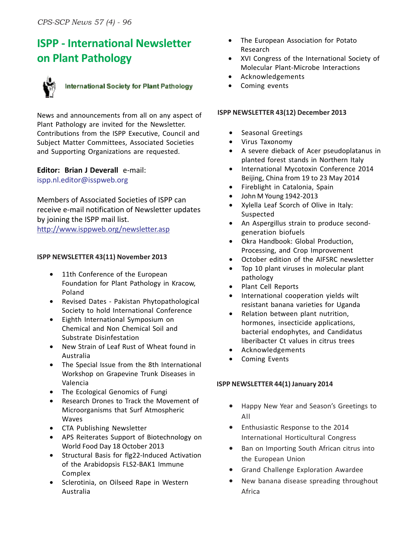## **ISPP - International Newsletter on Plant Pathology**

![](_page_14_Picture_2.jpeg)

## International Society for Plant Pathology

News and announcements from all on any aspect of Plant Pathology are invited for the Newsletter. Contributions from the ISPP Executive, Council and Subject Matter Committees, Associated Societies and Supporting Organizations are requested.

## **Editor: Brian J Deverall** e-mail:

ispp.nl.editor@isspweb.org

Members of Associated Societies of ISPP can receive e-mail notification of Newsletter updates by joining the ISPP mail list. http://www.isppweb.org/newsletter.asp

#### **ISPP NEWSLETTER 43(11) November 2013**

- 11th Conference of the European Foundation for Plant Pathology in Kracow, Poland
- Revised Dates Pakistan Phytopathological Society to hold International Conference
- Eighth International Symposium on Chemical and Non Chemical Soil and Substrate Disinfestation
- New Strain of Leaf Rust of Wheat found in Australia
- The Special Issue from the 8th International Workshop on Grapevine Trunk Diseases in Valencia
- The Ecological Genomics of Fungi
- Research Drones to Track the Movement of Microorganisms that Surf Atmospheric Waves
- CTA Publishing Newsletter
- APS Reiterates Support of Biotechnology on World Food Day 18 October 2013
- Structural Basis for flg22-Induced Activation of the Arabidopsis FLS2-BAK1 Immune Complex
- Sclerotinia, on Oilseed Rape in Western Australia
- The European Association for Potato Research
- XVI Congress of the International Society of Molecular Plant-Microbe Interactions
- Acknowledgements
- Coming events

#### **ISPP NEWSLETTER 43(12) December 2013**

- Seasonal Greetings
- Virus Taxonomy
- A severe dieback of Acer pseudoplatanus in planted forest stands in Northern Italy
- International Mycotoxin Conference 2014 Beijing, China from 19 to 23 May 2014
- Fireblight in Catalonia, Spain
- John M Young 1942-2013
- Xylella Leaf Scorch of Olive in Italy: Suspected
- An Aspergillus strain to produce secondgeneration biofuels
- Okra Handbook: Global Production, Processing, and Crop Improvement
- October edition of the AIFSRC newsletter
- Top 10 plant viruses in molecular plant pathology
- Plant Cell Reports
- International cooperation yields wilt resistant banana varieties for Uganda
- Relation between plant nutrition, hormones, insecticide applications, bacterial endophytes, and Candidatus liberibacter Ct values in citrus trees
- Acknowledgements
- Coming Events

#### **ISPP NEWSLETTER 44(1) January 2014**

- Happy New Year and Season's Greetings to All
- Enthusiastic Response to the 2014 International Horticultural Congress
- Ban on Importing South African citrus into the European Union
- Grand Challenge Exploration Awardee
- New banana disease spreading throughout Africa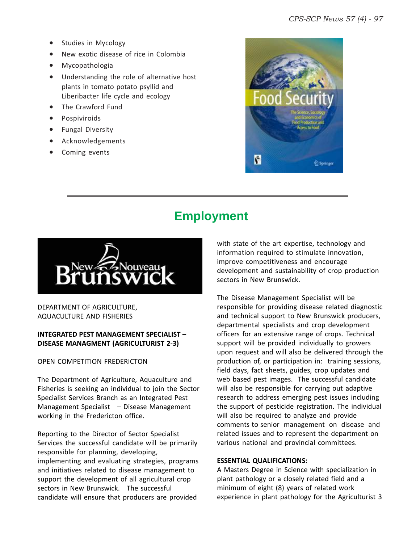- Studies in Mycology
- New exotic disease of rice in Colombia
- Mycopathologia
- Understanding the role of alternative host plants in tomato potato psyllid and Liberibacter life cycle and ecology
- The Crawford Fund
- **Pospiviroids**
- Fungal Diversity
- Acknowledgements
- Coming events

![](_page_15_Picture_10.jpeg)

## **Employment**

![](_page_15_Picture_12.jpeg)

DEPARTMENT OF AGRICULTURE, AQUACULTURE AND FISHERIES

#### **INTEGRATED PEST MANAGEMENT SPECIALIST – DISEASE MANAGMENT (AGRICULTURIST 2-3)**

OPEN COMPETITION FREDERICTON

The Department of Agriculture, Aquaculture and Fisheries is seeking an individual to join the Sector Specialist Services Branch as an Integrated Pest Management Specialist – Disease Management working in the Fredericton office.

Reporting to the Director of Sector Specialist Services the successful candidate will be primarily responsible for planning, developing, implementing and evaluating strategies, programs and initiatives related to disease management to support the development of all agricultural crop sectors in New Brunswick. The successful candidate will ensure that producers are provided

with state of the art expertise, technology and information required to stimulate innovation, improve competitiveness and encourage development and sustainability of crop production sectors in New Brunswick.

The Disease Management Specialist will be responsible for providing disease related diagnostic and technical support to New Brunswick producers, departmental specialists and crop development officers for an extensive range of crops. Technical support will be provided individually to growers upon request and will also be delivered through the production of, or participation in: training sessions, field days, fact sheets, guides, crop updates and web based pest images. The successful candidate will also be responsible for carrying out adaptive research to address emerging pest issues including the support of pesticide registration. The individual will also be required to analyze and provide comments to senior management on disease and related issues and to represent the department on various national and provincial committees.

#### **ESSENTIAL QUALIFICATIONS:**

A Masters Degree in Science with specialization in plant pathology or a closely related field and a minimum of eight (8) years of related work experience in plant pathology for the Agriculturist 3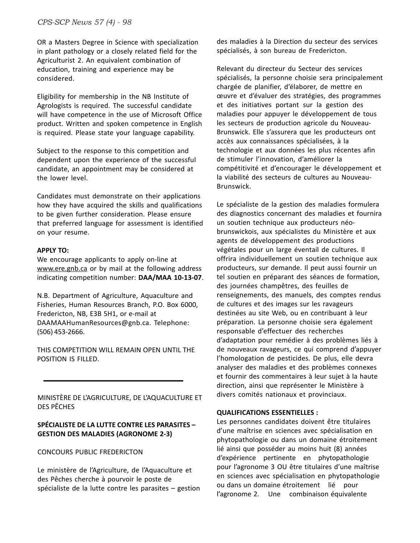OR a Masters Degree in Science with specialization in plant pathology or a closely related field for the Agriculturist 2. An equivalent combination of education, training and experience may be considered.

Eligibility for membership in the NB Institute of Agrologists is required. The successful candidate will have competence in the use of Microsoft Office product. Written and spoken competence in English is required. Please state your language capability.

Subject to the response to this competition and dependent upon the experience of the successful candidate, an appointment may be considered at the lower level.

Candidates must demonstrate on their applications how they have acquired the skills and qualifications to be given further consideration. Please ensure that preferred language for assessment is identified on your resume.

#### **APPLY TO:**

We encourage applicants to apply on-line at www.ere.gnb.ca or by mail at the following address indicating competition number: **DAA/MAA 10-13-07**.

N.B. Department of Agriculture, Aquaculture and Fisheries, Human Resources Branch, P.O. Box 6000, Fredericton, NB, E3B 5H1, or e-mail at DAAMAAHumanResources@gnb.ca. Telephone: (506) 453-2666.

THIS COMPETITION WILL REMAIN OPEN UNTIL THE POSITION IS FILLED.

MINISTÈRE DE L'AGRICULTURE, DE L'AQUACULTURE ET DES PÊCHES

#### **SPÉCIALISTE DE LA LUTTE CONTRE LES PARASITES – GESTION DES MALADIES (AGRONOME 2-3)**

CONCOURS PUBLIC FREDERICTON

Le ministère de l'Agriculture, de l'Aquaculture et des Pêches cherche à pourvoir le poste de spécialiste de la lutte contre les parasites – gestion des maladies à la Direction du secteur des services spécialisés, à son bureau de Fredericton.

Relevant du directeur du Secteur des services spécialisés, la personne choisie sera principalement chargée de planifier, d'élaborer, de mettre en œuvre et d'évaluer des stratégies, des programmes et des initiatives portant sur la gestion des maladies pour appuyer le développement de tous les secteurs de production agricole du Nouveau-Brunswick. Elle s'assurera que les producteurs ont accès aux connaissances spécialisées, à la technologie et aux données les plus récentes afin de stimuler l'innovation, d'améliorer la compétitivité et d'encourager le développement et la viabilité des secteurs de cultures au Nouveau-Brunswick.

Le spécialiste de la gestion des maladies formulera des diagnostics concernant des maladies et fournira un soutien technique aux producteurs néobrunswickois, aux spécialistes du Ministère et aux agents de développement des productions végétales pour un large éventail de cultures. Il offrira individuellement un soutien technique aux producteurs, sur demande. Il peut aussi fournir un tel soutien en préparant des séances de formation, des journées champêtres, des feuilles de renseignements, des manuels, des comptes rendus de cultures et des images sur les ravageurs destinées au site Web, ou en contribuant à leur préparation. La personne choisie sera également responsable d'effectuer des recherches d'adaptation pour remédier à des problèmes liés à de nouveaux ravageurs, ce qui comprend d'appuyer l'homologation de pesticides. De plus, elle devra analyser des maladies et des problèmes connexes et fournir des commentaires à leur sujet à la haute direction, ainsi que représenter le Ministère à divers comités nationaux et provinciaux.

#### **QUALIFICATIONS ESSENTIELLES :**

Les personnes candidates doivent être titulaires d'une maîtrise en sciences avec spécialisation en phytopathologie ou dans un domaine étroitement lié ainsi que posséder au moins huit (8) années d'expérience pertinente en phytopathologie pour l'agronome 3 OU être titulaires d'une maîtrise en sciences avec spécialisation en phytopathologie ou dans un domaine étroitement lié pour l'agronome 2. Une combinaison équivalente